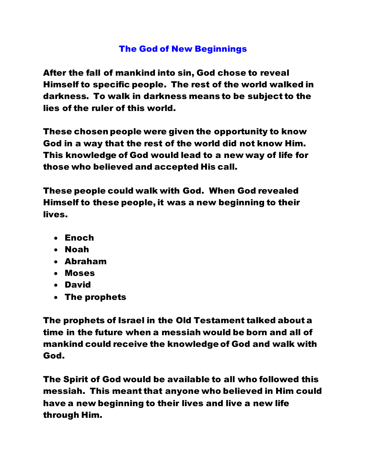# The God of New Beginnings

After the fall of mankind into sin, God chose to reveal Himself to specific people. The rest of the world walked in darkness. To walk in darkness means to be subject to the lies of the ruler of this world.

These chosen people were given the opportunity to know God in a way that the rest of the world did not know Him. This knowledge of God would lead to a new way of life for those who believed and accepted His call.

These people could walk with God. When God revealed Himself to these people, it was a new beginning to their lives.

- Enoch
- Noah
- Abraham
- Moses
- David
- The prophets

The prophets of Israel in the Old Testament talked about a time in the future when a messiah would be born and all of mankind could receive the knowledge of God and walk with God.

The Spirit of God would be available to all who followed this messiah. This meant that anyone who believed in Him could have a new beginning to their lives and live a new life through Him.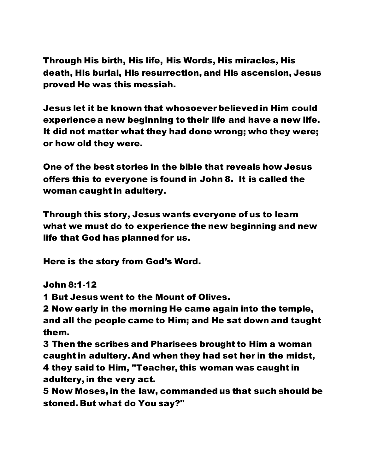Through His birth, His life, His Words, His miracles, His death, His burial, His resurrection, and His ascension, Jesus proved He was this messiah.

Jesus let it be known that whosoever believed in Him could experience a new beginning to their life and have a new life. It did not matter what they had done wrong; who they were; or how old they were.

One of the best stories in the bible that reveals how Jesus offers this to everyone is found in John 8. It is called the woman caught in adultery.

Through this story, Jesus wants everyone of us to learn what we must do to experience the new beginning and new life that God has planned for us.

Here is the story from God's Word.

John 8:1-12

1 But Jesus went to the Mount of Olives.

2 Now early in the morning He came again into the temple, and all the people came to Him; and He sat down and taught them.

3 Then the scribes and Pharisees brought to Him a woman caught in adultery. And when they had set her in the midst, 4 they said to Him, "Teacher, this woman was caught in adultery, in the very act.

5 Now Moses, in the law, commanded us that such should be stoned. But what do You say?"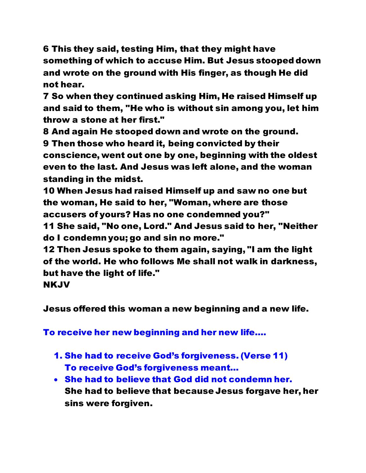6 This they said, testing Him, that they might have something of which to accuse Him. But Jesus stooped down and wrote on the ground with His finger, as though He did not hear.

7 So when they continued asking Him, He raised Himself up and said to them, "He who is without sin among you, let him throw a stone at her first."

8 And again He stooped down and wrote on the ground. 9 Then those who heard it, being convicted by their conscience, went out one by one, beginning with the oldest even to the last. And Jesus was left alone, and the woman standing in the midst.

10 When Jesus had raised Himself up and saw no one but the woman, He said to her, "Woman, where are those accusers of yours? Has no one condemned you?"

11 She said, "No one, Lord." And Jesus said to her, "Neither do I condemn you; go and sin no more."

12 Then Jesus spoke to them again, saying, "I am the light of the world. He who follows Me shall not walk in darkness, but have the light of life."

NKJV

Jesus offered this woman a new beginning and a new life.

To receive her new beginning and her new life….

- 1. She had to receive God's forgiveness. (Verse 11) To receive God's forgiveness meant…
- She had to believe that God did not condemn her. She had to believe that because Jesus forgave her, her sins were forgiven.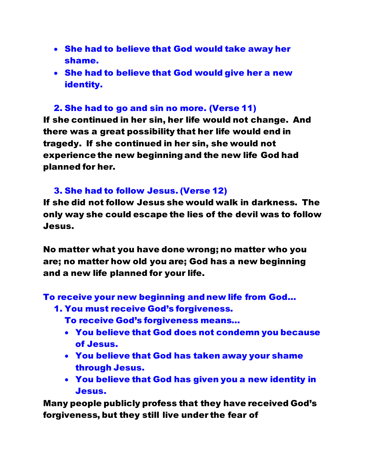- She had to believe that God would take away her shame.
- She had to believe that God would give her a new identity.

# 2. She had to go and sin no more. (Verse 11)

If she continued in her sin, her life would not change. And there was a great possibility that her life would end in tragedy. If she continued in her sin, she would not experience the new beginning and the new life God had planned for her.

#### 3. She had to follow Jesus. (Verse 12)

If she did not follow Jesus she would walk in darkness. The only way she could escape the lies of the devil was to follow Jesus.

No matter what you have done wrong; no matter who you are; no matter how old you are; God has a new beginning and a new life planned for your life.

To receive your new beginning and new life from God…

- 1. You must receive God's forgiveness.
	- To receive God's forgiveness means…
	- You believe that God does not condemn you because of Jesus.
	- You believe that God has taken away your shame through Jesus.
	- You believe that God has given you a new identity in Jesus.

Many people publicly profess that they have received God's forgiveness, but they still live under the fear of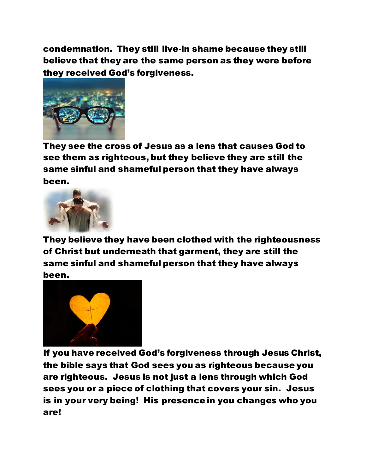condemnation. They still live-in shame because they still believe that they are the same person as they were before they received God's forgiveness.



They see the cross of Jesus as a lens that causes God to see them as righteous, but they believe they are still the same sinful and shameful person that they have always been.



They believe they have been clothed with the righteousness of Christ but underneath that garment, they are still the same sinful and shameful person that they have always been.



If you have received God's forgiveness through Jesus Christ, the bible says that God sees you as righteous because you are righteous. Jesus is not just a lens through which God sees you or a piece of clothing that covers your sin. Jesus is in your very being! His presence in you changes who you are!